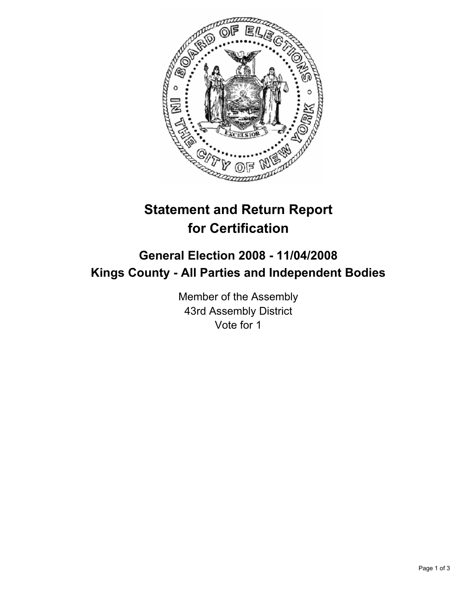

# **Statement and Return Report for Certification**

## **General Election 2008 - 11/04/2008 Kings County - All Parties and Independent Bodies**

Member of the Assembly 43rd Assembly District Vote for 1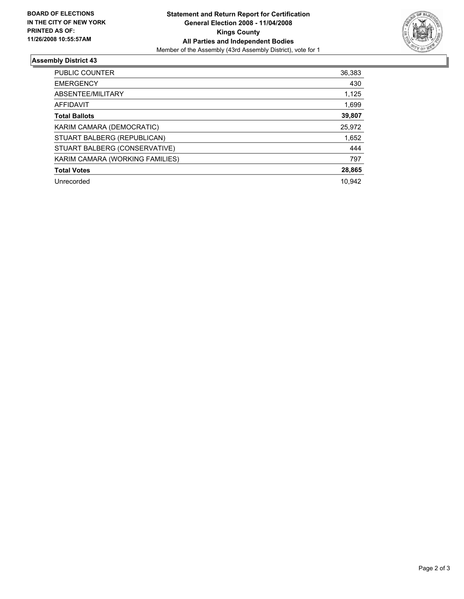

### **Assembly District 43**

| <b>PUBLIC COUNTER</b>           | 36,383 |
|---------------------------------|--------|
| <b>EMERGENCY</b>                | 430    |
| ABSENTEE/MILITARY               | 1,125  |
| AFFIDAVIT                       | 1,699  |
| <b>Total Ballots</b>            | 39,807 |
| KARIM CAMARA (DEMOCRATIC)       | 25,972 |
| STUART BALBERG (REPUBLICAN)     | 1,652  |
| STUART BALBERG (CONSERVATIVE)   | 444    |
| KARIM CAMARA (WORKING FAMILIES) | 797    |
| <b>Total Votes</b>              | 28,865 |
| Unrecorded                      | 10.942 |